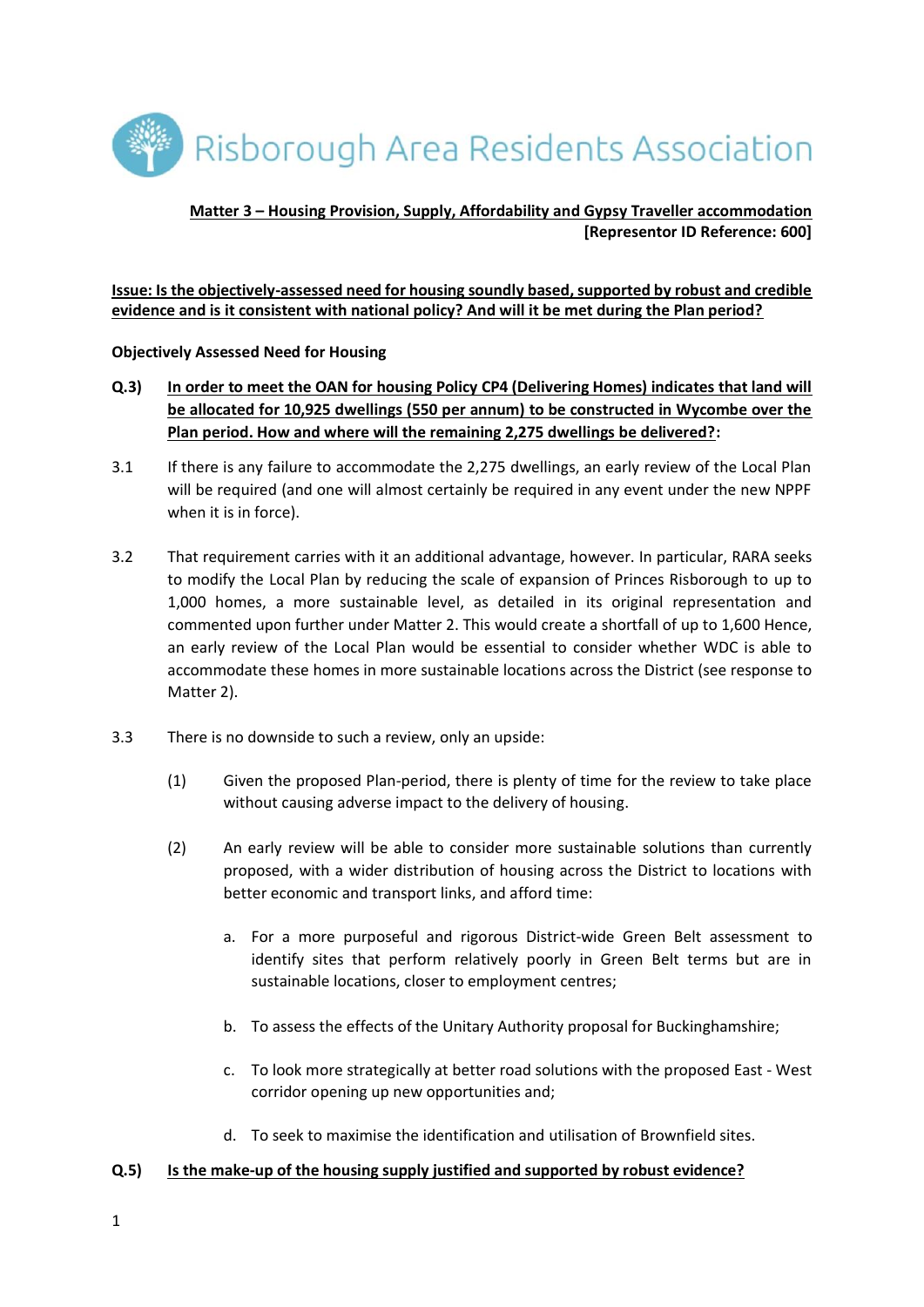Risborough Area Residents Association

# **Matter 3 – Housing Provision, Supply, Affordability and Gypsy Traveller accommodation [Representor ID Reference: 600]**

### **Issue: Is the objectively-assessed need for housing soundly based, supported by robust and credible evidence and is it consistent with national policy? And will it be met during the Plan period?**

### **Objectively Assessed Need for Housing**

- **Q.3) In order to meet the OAN for housing Policy CP4 (Delivering Homes) indicates that land will be allocated for 10,925 dwellings (550 per annum) to be constructed in Wycombe over the Plan period. How and where will the remaining 2,275 dwellings be delivered?:**
- 3.1 If there is any failure to accommodate the 2,275 dwellings, an early review of the Local Plan will be required (and one will almost certainly be required in any event under the new NPPF when it is in force).
- 3.2 That requirement carries with it an additional advantage, however. In particular, RARA seeks to modify the Local Plan by reducing the scale of expansion of Princes Risborough to up to 1,000 homes, a more sustainable level, as detailed in its original representation and commented upon further under Matter 2. This would create a shortfall of up to 1,600 Hence, an early review of the Local Plan would be essential to consider whether WDC is able to accommodate these homes in more sustainable locations across the District (see response to Matter 2).
- 3.3 There is no downside to such a review, only an upside:
	- (1) Given the proposed Plan-period, there is plenty of time for the review to take place without causing adverse impact to the delivery of housing.
	- (2) An early review will be able to consider more sustainable solutions than currently proposed, with a wider distribution of housing across the District to locations with better economic and transport links, and afford time:
		- a. For a more purposeful and rigorous District-wide Green Belt assessment to identify sites that perform relatively poorly in Green Belt terms but are in sustainable locations, closer to employment centres;
		- b. To assess the effects of the Unitary Authority proposal for Buckinghamshire;
		- c. To look more strategically at better road solutions with the proposed East West corridor opening up new opportunities and;
		- d. To seek to maximise the identification and utilisation of Brownfield sites.

#### **Q.5) Is the make-up of the housing supply justified and supported by robust evidence?**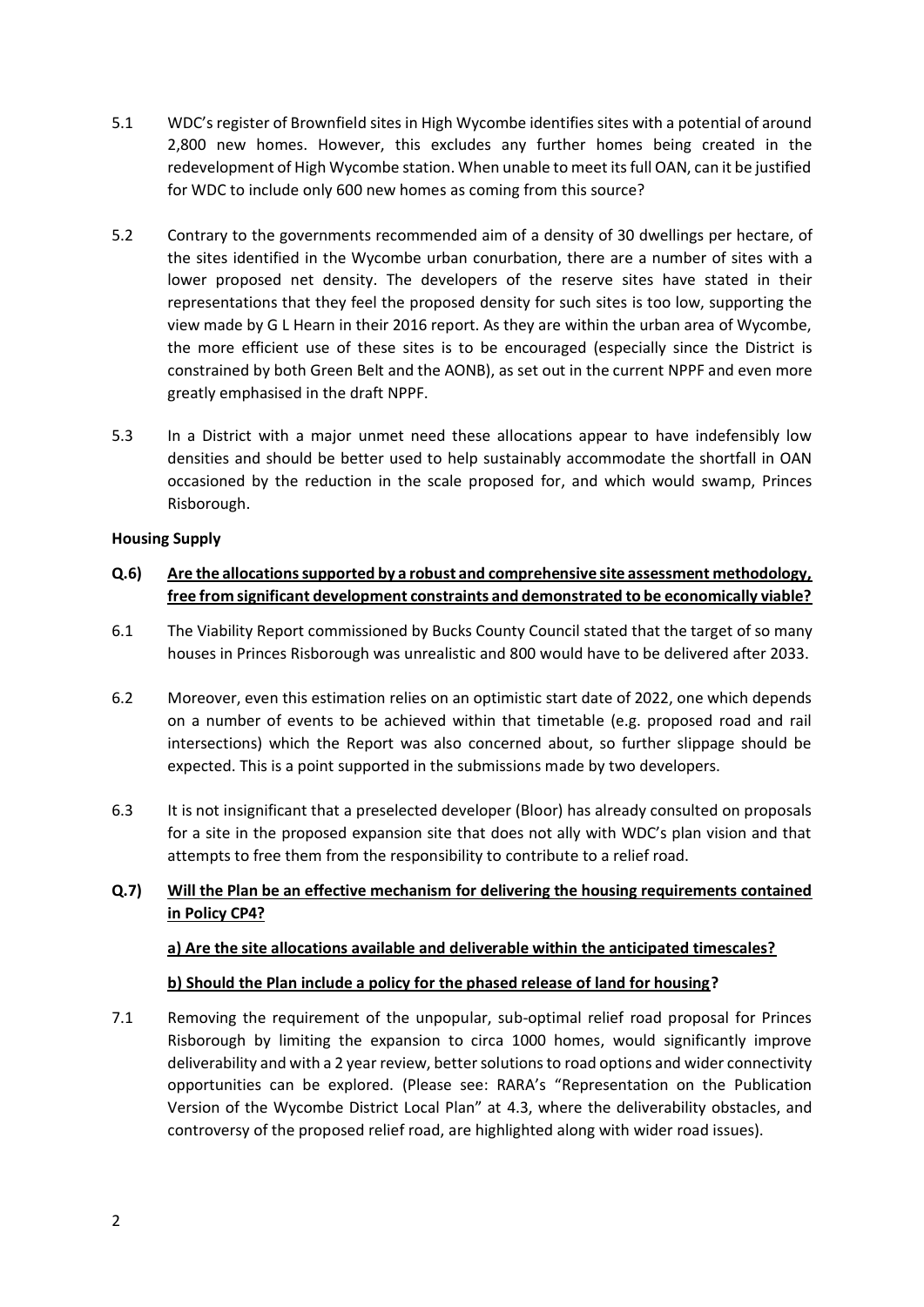- 5.1 WDC's register of Brownfield sites in High Wycombe identifies sites with a potential of around 2,800 new homes. However, this excludes any further homes being created in the redevelopment of High Wycombe station. When unable to meet its full OAN, can it be justified for WDC to include only 600 new homes as coming from this source?
- 5.2 Contrary to the governments recommended aim of a density of 30 dwellings per hectare, of the sites identified in the Wycombe urban conurbation, there are a number of sites with a lower proposed net density. The developers of the reserve sites have stated in their representations that they feel the proposed density for such sites is too low, supporting the view made by G L Hearn in their 2016 report. As they are within the urban area of Wycombe, the more efficient use of these sites is to be encouraged (especially since the District is constrained by both Green Belt and the AONB), as set out in the current NPPF and even more greatly emphasised in the draft NPPF.
- 5.3 In a District with a major unmet need these allocations appear to have indefensibly low densities and should be better used to help sustainably accommodate the shortfall in OAN occasioned by the reduction in the scale proposed for, and which would swamp, Princes Risborough.

### **Housing Supply**

## **Q.6) Are the allocations supported by a robust and comprehensive site assessment methodology, free from significant development constraints and demonstrated to be economically viable?**

- 6.1 The Viability Report commissioned by Bucks County Council stated that the target of so many houses in Princes Risborough was unrealistic and 800 would have to be delivered after 2033.
- 6.2 Moreover, even this estimation relies on an optimistic start date of 2022, one which depends on a number of events to be achieved within that timetable (e.g. proposed road and rail intersections) which the Report was also concerned about, so further slippage should be expected. This is a point supported in the submissions made by two developers.
- 6.3 It is not insignificant that a preselected developer (Bloor) has already consulted on proposals for a site in the proposed expansion site that does not ally with WDC's plan vision and that attempts to free them from the responsibility to contribute to a relief road.

## **Q.7) Will the Plan be an effective mechanism for delivering the housing requirements contained in Policy CP4?**

## **a) Are the site allocations available and deliverable within the anticipated timescales?**

## **b) Should the Plan include a policy for the phased release of land for housing?**

7.1 Removing the requirement of the unpopular, sub-optimal relief road proposal for Princes Risborough by limiting the expansion to circa 1000 homes, would significantly improve deliverability and with a 2 year review, better solutions to road options and wider connectivity opportunities can be explored. (Please see: RARA's "Representation on the Publication Version of the Wycombe District Local Plan" at 4.3, where the deliverability obstacles, and controversy of the proposed relief road, are highlighted along with wider road issues).